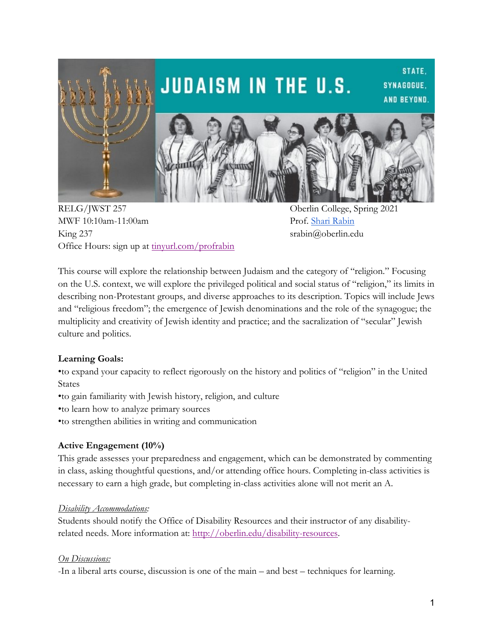

MWF 10:10am-11:00am Prof. Shari Rabin King 237 srabin@oberlin.edu Office Hours: sign up at tinyurl.com/profrabin

This course will explore the relationship between Judaism and the category of "religion." Focusing on the U.S. context, we will explore the privileged political and social status of "religion," its limits in describing non-Protestant groups, and diverse approaches to its description. Topics will include Jews and "religious freedom"; the emergence of Jewish denominations and the role of the synagogue; the multiplicity and creativity of Jewish identity and practice; and the sacralization of "secular" Jewish culture and politics.

#### **Learning Goals:**

•to expand your capacity to reflect rigorously on the history and politics of "religion" in the United States

- •to gain familiarity with Jewish history, religion, and culture
- •to learn how to analyze primary sources
- •to strengthen abilities in writing and communication

# **Active Engagement (10%)**

This grade assesses your preparedness and engagement, which can be demonstrated by commenting in class, asking thoughtful questions, and/or attending office hours. Completing in-class activities is necessary to earn a high grade, but completing in-class activities alone will not merit an A.

#### *Disability Accommodations:*

Students should notify the Office of Disability Resources and their instructor of any disabilityrelated needs. More information at: http://oberlin.edu/disability-resources.

#### *On Discussions:*

-In a liberal arts course, discussion is one of the main – and best – techniques for learning.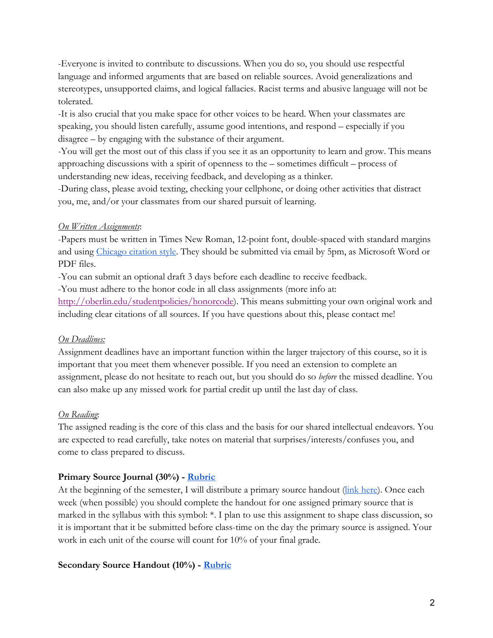-Everyone is invited to contribute to discussions. When you do so, you should use respectful language and informed arguments that are based on reliable sources. Avoid generalizations and stereotypes, unsupported claims, and logical fallacies. Racist terms and abusive language will not be tolerated.

-It is also crucial that you make space for other voices to be heard. When your classmates are speaking, you should listen carefully, assume good intentions, and respond – especially if you disagree – by engaging with the substance of their argument.

-You will get the most out of this class if you see it as an opportunity to learn and grow. This means approaching discussions with a spirit of openness to the – sometimes difficult – process of understanding new ideas, receiving feedback, and developing as a thinker.

-During class, please avoid texting, checking your cellphone, or doing other activities that distract you, me, and/or your classmates from our shared pursuit of learning.

#### *On Written Assignments*:

-Papers must be written in Times New Roman, 12-point font, double-spaced with standard margins and using Chicago citation style. They should be submitted via email by 5pm, as Microsoft Word or PDF files.

-You can submit an optional draft 3 days before each deadline to receive feedback.

-You must adhere to the honor code in all class assignments (more info at:

http://oberlin.edu/studentpolicies/honorcode). This means submitting your own original work and including clear citations of all sources. If you have questions about this, please contact me!

#### *On Deadlines:*

Assignment deadlines have an important function within the larger trajectory of this course, so it is important that you meet them whenever possible. If you need an extension to complete an assignment, please do not hesitate to reach out, but you should do so *before* the missed deadline. You can also make up any missed work for partial credit up until the last day of class.

#### *On Reading*:

The assigned reading is the core of this class and the basis for our shared intellectual endeavors. You are expected to read carefully, take notes on material that surprises/interests/confuses you, and come to class prepared to discuss.

#### **Primary Source Journal (30%) - Rubric**

At the beginning of the semester, I will distribute a primary source handout (link here). Once each week (when possible) you should complete the handout for one assigned primary source that is marked in the syllabus with this symbol: \*. I plan to use this assignment to shape class discussion, so it is important that it be submitted before class-time on the day the primary source is assigned. Your work in each unit of the course will count for 10% of your final grade.

#### **Secondary Source Handout (10%) - Rubric**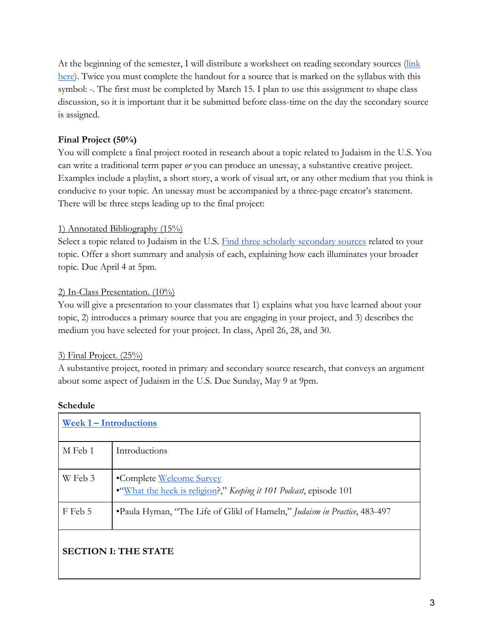At the beginning of the semester, I will distribute a worksheet on reading secondary sources (link here). Twice you must complete the handout for a source that is marked on the syllabus with this symbol: -. The first must be completed by March 15. I plan to use this assignment to shape class discussion, so it is important that it be submitted before class-time on the day the secondary source is assigned.

# **Final Project (50%)**

You will complete a final project rooted in research about a topic related to Judaism in the U.S. You can write a traditional term paper *or* you can produce an unessay, a substantive creative project. Examples include a playlist, a short story, a work of visual art, or any other medium that you think is conducive to your topic. An unessay must be accompanied by a three-page creator's statement. There will be three steps leading up to the final project:

## 1) Annotated Bibliography (15%)

Select a topic related to Judaism in the U.S. Find three scholarly secondary sources related to your topic. Offer a short summary and analysis of each, explaining how each illuminates your broader topic. Due April 4 at 5pm.

## 2) In-Class Presentation. (10%)

You will give a presentation to your classmates that 1) explains what you have learned about your topic, 2) introduces a primary source that you are engaging in your project, and 3) describes the medium you have selected for your project. In class, April 26, 28, and 30.

#### 3) Final Project. (25%)

A substantive project, rooted in primary and secondary source research, that conveys an argument about some aspect of Judaism in the U.S. Due Sunday, May 9 at 9pm.

| Week 1 – Introductions      |                                                                                               |  |
|-----------------------------|-----------------------------------------------------------------------------------------------|--|
| M Feb 1                     | Introductions                                                                                 |  |
| W Feb 3                     | •Complete Welcome Survey<br>"What the heck is religion?," Keeping it 101 Podcast, episode 101 |  |
| F Feb 5                     | •Paula Hyman, "The Life of Glikl of Hameln," Judaism in Practice, 483-497                     |  |
| <b>SECTION I: THE STATE</b> |                                                                                               |  |

# **Schedule**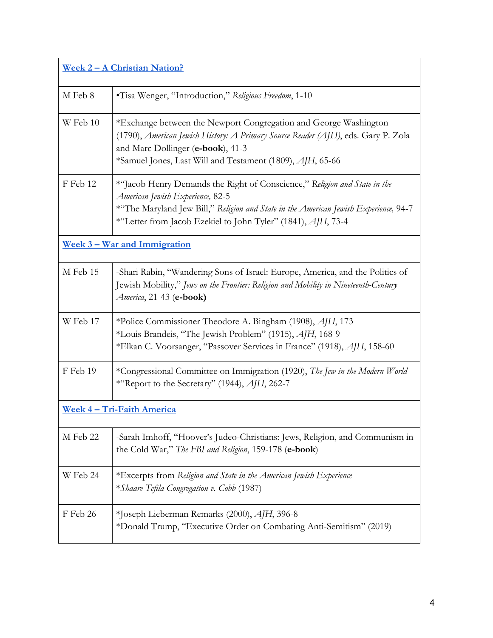# **Week 2 – A Christian Nation?**

| <u>Week 2 – A Christian Nation?</u> |                                                                                                                                                                                                                                                                       |  |
|-------------------------------------|-----------------------------------------------------------------------------------------------------------------------------------------------------------------------------------------------------------------------------------------------------------------------|--|
| M Feb 8                             | •Tisa Wenger, "Introduction," Religious Freedom, 1-10                                                                                                                                                                                                                 |  |
| W Feb 10                            | *Exchange between the Newport Congregation and George Washington<br>(1790), American Jewish History: A Primary Source Reader (AJH), eds. Gary P. Zola<br>and Marc Dollinger (e-book), 41-3<br>*Samuel Jones, Last Will and Testament (1809), AJH, 65-66               |  |
| F Feb 12                            | *"Jacob Henry Demands the Right of Conscience," Religion and State in the<br>American Jewish Experience, 82-5<br>*"The Maryland Jew Bill," Religion and State in the American Jewish Experience, 94-7<br>*"Letter from Jacob Ezekiel to John Tyler" (1841), AJH, 73-4 |  |
|                                     | <u>Week 3 – War and Immigration</u>                                                                                                                                                                                                                                   |  |
| M Feb 15                            | -Shari Rabin, "Wandering Sons of Israel: Europe, America, and the Politics of<br>Jewish Mobility," Jews on the Frontier: Religion and Mobility in Nineteenth-Century<br>America, 21-43 (e-book)                                                                       |  |
| W Feb 17                            | *Police Commissioner Theodore A. Bingham (1908), AJH, 173<br>*Louis Brandeis, "The Jewish Problem" (1915), AJH, 168-9<br>*Elkan C. Voorsanger, "Passover Services in France" (1918), AJH, 158-60                                                                      |  |
| F Feb 19                            | *Congressional Committee on Immigration (1920), The Jew in the Modern World<br>*"Report to the Secretary" (1944), AJH, 262-7                                                                                                                                          |  |
| <u> Week 4 – Tri-Faith America</u>  |                                                                                                                                                                                                                                                                       |  |
| M Feb 22                            | -Sarah Imhoff, "Hoover's Judeo-Christians: Jews, Religion, and Communism in<br>the Cold War," The FBI and Religion, 159-178 (e-book)                                                                                                                                  |  |
| W Feb 24                            | *Excerpts from Religion and State in the American Jewish Experience<br>*Shaare Tefila Congregation v. Cobb (1987)                                                                                                                                                     |  |
| F Feb 26                            | *Joseph Lieberman Remarks (2000), AJH, 396-8<br>*Donald Trump, "Executive Order on Combating Anti-Semitism" (2019)                                                                                                                                                    |  |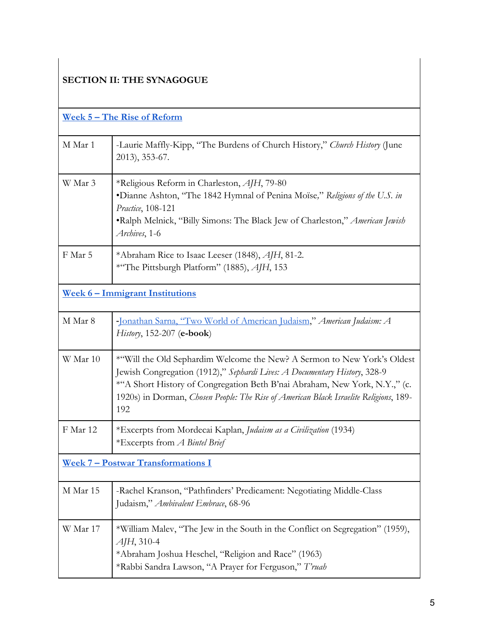# **SECTION II: THE SYNAGOGUE**

| <u>Week 5 – The Rise of Reform</u>        |                                                                                                                                                                                                                                                                                                                                    |  |
|-------------------------------------------|------------------------------------------------------------------------------------------------------------------------------------------------------------------------------------------------------------------------------------------------------------------------------------------------------------------------------------|--|
| M Mar 1                                   | -Laurie Maffly-Kipp, "The Burdens of Church History," Church History (June<br>2013), 353-67.                                                                                                                                                                                                                                       |  |
| W Mar 3                                   | *Religious Reform in Charleston, AJH, 79-80<br>•Dianne Ashton, "The 1842 Hymnal of Penina Moïse," Religions of the U.S. in<br>Practice, 108-121<br>•Ralph Melnick, "Billy Simons: The Black Jew of Charleston," American Jewish<br>Archives, 1-6                                                                                   |  |
| F Mar 5                                   | *Abraham Rice to Isaac Leeser (1848), AJH, 81-2.<br>*"The Pittsburgh Platform" (1885), AJH, 153                                                                                                                                                                                                                                    |  |
| <u>Week 6 - Immigrant Institutions</u>    |                                                                                                                                                                                                                                                                                                                                    |  |
| M Mar 8                                   | -Jonathan Sarna, "Two World of American Judaism," American Judaism: A<br>History, 152-207 (e-book)                                                                                                                                                                                                                                 |  |
| W Mar 10                                  | *"Will the Old Sephardim Welcome the New? A Sermon to New York's Oldest<br>Jewish Congregation (1912)," Sephardi Lives: A Documentary History, 328-9<br>*"A Short History of Congregation Beth B'nai Abraham, New York, N.Y.," (c.<br>1920s) in Dorman, Chosen People: The Rise of American Black Israelite Religions, 189-<br>192 |  |
| F Mar 12                                  | *Excerpts from Mordecai Kaplan, Judaism as a Civilization (1934)<br>*Excerpts from A Bintel Brief                                                                                                                                                                                                                                  |  |
| <b>Week 7 - Postwar Transformations I</b> |                                                                                                                                                                                                                                                                                                                                    |  |
| M Mar 15                                  | -Rachel Kranson, "Pathfinders' Predicament: Negotiating Middle-Class<br>Judaism," Ambivalent Embrace, 68-96                                                                                                                                                                                                                        |  |
| W Mar 17                                  | *William Malev, "The Jew in the South in the Conflict on Segregation" (1959),<br>$AIH$ , 310-4<br>*Abraham Joshua Heschel, "Religion and Race" (1963)<br>*Rabbi Sandra Lawson, "A Prayer for Ferguson," T'ruah                                                                                                                     |  |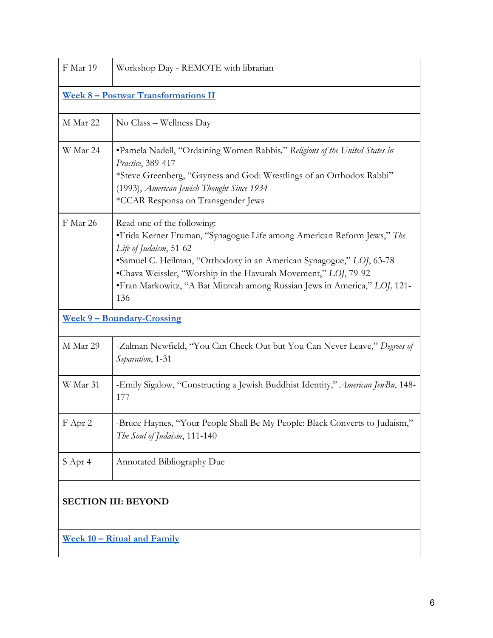| F Mar 19                                   | Workshop Day - REMOTE with librarian                                                                                                                                                                                                                                                                                                                           |  |
|--------------------------------------------|----------------------------------------------------------------------------------------------------------------------------------------------------------------------------------------------------------------------------------------------------------------------------------------------------------------------------------------------------------------|--|
| <u>Week 8 - Postwar Transformations II</u> |                                                                                                                                                                                                                                                                                                                                                                |  |
| M Mar 22                                   | No Class – Wellness Day                                                                                                                                                                                                                                                                                                                                        |  |
| W Mar 24                                   | •Pamela Nadell, "Ordaining Women Rabbis," Religions of the United States in<br>Practice, 389-417<br>*Steve Greenberg, "Gayness and God: Wrestlings of an Orthodox Rabbi"<br>(1993), American Jewish Thought Since 1934<br>*CCAR Responsa on Transgender Jews                                                                                                   |  |
| F Mar 26                                   | Read one of the following:<br>• Frida Kerner Fruman, "Synagogue Life among American Reform Jews," The<br>Life of Judaism, 51-62<br>•Samuel C. Heilman, "Orthodoxy in an American Synagogue," LOJ, 63-78<br>•Chava Weissler, "Worship in the Havurah Movement," LOJ, 79-92<br>• Fran Markowitz, "A Bat Mitzvah among Russian Jews in America," LOJ, 121-<br>136 |  |
| <u>Week 9 – Boundary-Crossing</u>          |                                                                                                                                                                                                                                                                                                                                                                |  |
| M Mar 29                                   | -Zalman Newfield, "You Can Check Out but You Can Never Leave," Degrees of<br>Separation, 1-31                                                                                                                                                                                                                                                                  |  |
| W Mar 31                                   | -Emily Sigalow, "Constructing a Jewish Buddhist Identity," American JewBu, 148-<br>177                                                                                                                                                                                                                                                                         |  |
| F Apr 2                                    | -Bruce Haynes, "Your People Shall Be My People: Black Converts to Judaism,"<br>The Soul of Judaism, 111-140                                                                                                                                                                                                                                                    |  |
| S Apr 4                                    | <b>Annotated Bibliography Due</b>                                                                                                                                                                                                                                                                                                                              |  |
| <b>SECTION III: BEYOND</b>                 |                                                                                                                                                                                                                                                                                                                                                                |  |
| <u>Week 10 - Ritual and Family</u>         |                                                                                                                                                                                                                                                                                                                                                                |  |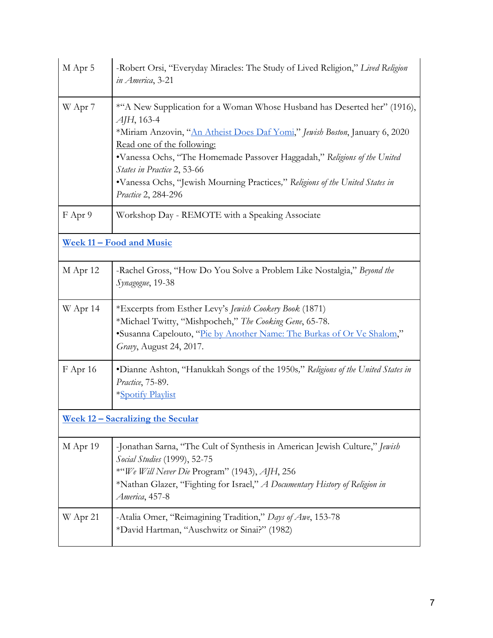| M Apr 5                                  | -Robert Orsi, "Everyday Miracles: The Study of Lived Religion," Lived Religion<br>in America, 3-21                                                                                                                                                                                                                                                                                                                        |  |
|------------------------------------------|---------------------------------------------------------------------------------------------------------------------------------------------------------------------------------------------------------------------------------------------------------------------------------------------------------------------------------------------------------------------------------------------------------------------------|--|
| W Apr 7                                  | *"A New Supplication for a Woman Whose Husband has Deserted her" (1916),<br>$AIH$ , 163-4<br>*Miriam Anzovin, "An Atheist Does Daf Yomi," Jewish Boston, January 6, 2020<br>Read one of the following:<br>•Vanessa Ochs, "The Homemade Passover Haggadah," Religions of the United<br>States in Practice 2, 53-66<br>•Vanessa Ochs, "Jewish Mourning Practices," Religions of the United States in<br>Practice 2, 284-296 |  |
| F Apr 9                                  | Workshop Day - REMOTE with a Speaking Associate                                                                                                                                                                                                                                                                                                                                                                           |  |
| Week 11 - Food and Music                 |                                                                                                                                                                                                                                                                                                                                                                                                                           |  |
| M Apr 12                                 | -Rachel Gross, "How Do You Solve a Problem Like Nostalgia," Beyond the<br>Synagogue, 19-38                                                                                                                                                                                                                                                                                                                                |  |
| W Apr 14                                 | *Excerpts from Esther Levy's Jewish Cookery Book (1871)<br>*Michael Twitty, "Mishpocheh," The Cooking Gene, 65-78.<br>*Susanna Capelouto, "Pie by Another Name: The Burkas of Or Ve Shalom,"<br>Gravy, August 24, 2017.                                                                                                                                                                                                   |  |
| F Apr 16                                 | •Dianne Ashton, "Hanukkah Songs of the 1950s," Religions of the United States in<br>Practice, 75-89.<br>*Spotify Playlist                                                                                                                                                                                                                                                                                                 |  |
| <u>Week 12 – Sacralizing the Secular</u> |                                                                                                                                                                                                                                                                                                                                                                                                                           |  |
| M Apr 19                                 | -Jonathan Sarna, "The Cult of Synthesis in American Jewish Culture," Jewish<br>Social Studies (1999), 52-75<br>*"We Will Never Die Program" (1943), AJH, 256<br>*Nathan Glazer, "Fighting for Israel," A Documentary History of Religion in<br>America, 457-8                                                                                                                                                             |  |
| W Apr 21                                 | -Atalia Omer, "Reimagining Tradition," Days of Awe, 153-78<br>*David Hartman, "Auschwitz or Sinai?" (1982)                                                                                                                                                                                                                                                                                                                |  |